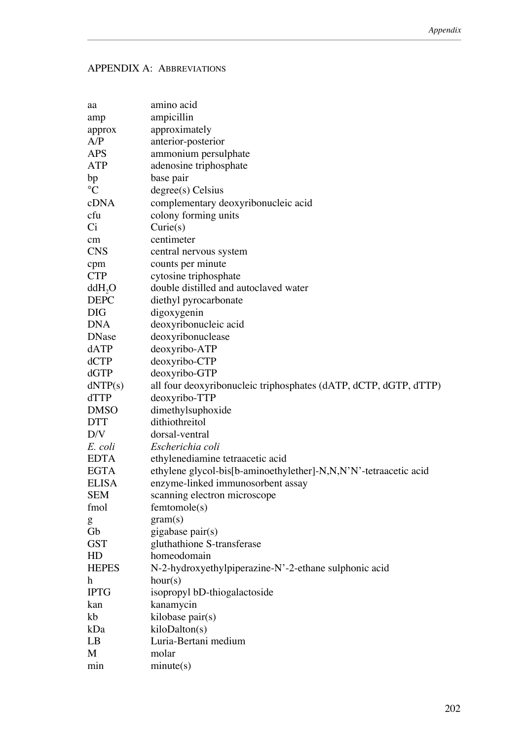## APPENDIX A: ABBREVIATIONS

| aa                        | amino acid                                                       |
|---------------------------|------------------------------------------------------------------|
| amp                       | ampicillin                                                       |
| approx                    | approximately                                                    |
| A/P                       | anterior-posterior                                               |
| <b>APS</b>                | ammonium persulphate                                             |
| ATP                       | adenosine triphosphate                                           |
| bp                        | base pair                                                        |
| $\mathcal{C}$             | degree(s) Celsius                                                |
| cDNA                      | complementary deoxyribonucleic acid                              |
| cfu                       | colony forming units                                             |
| Ci                        | Curie(s)                                                         |
| $\rm cm$                  | centimeter                                                       |
| <b>CNS</b>                | central nervous system                                           |
| cpm                       | counts per minute                                                |
| <b>CTP</b>                | cytosine triphosphate                                            |
| ddH <sub>2</sub> O        | double distilled and autoclaved water                            |
| <b>DEPC</b>               | diethyl pyrocarbonate                                            |
| <b>DIG</b>                | digoxygenin                                                      |
| <b>DNA</b>                | deoxyribonucleic acid                                            |
| <b>DNase</b>              | deoxyribonuclease                                                |
| dATP                      | deoxyribo-ATP                                                    |
| dCTP                      | deoxyribo-CTP                                                    |
| dGTP                      | deoxyribo-GTP                                                    |
| dNTP(s)                   | all four deoxyribonucleic triphosphates (dATP, dCTP, dGTP, dTTP) |
| <b>dTTP</b>               | deoxyribo-TTP                                                    |
| <b>DMSO</b>               | dimethylsuphoxide                                                |
| <b>DTT</b>                | dithiothreitol                                                   |
| D/V                       | dorsal-ventral                                                   |
| E. coli                   | Escherichia coli                                                 |
| <b>EDTA</b>               | ethylenediamine tetraacetic acid                                 |
| <b>EGTA</b>               | ethylene glycol-bis[b-aminoethylether]-N,N,N'N'-tetraacetic acid |
| <b>ELISA</b>              | enzyme-linked immunosorbent assay                                |
| <b>SEM</b>                | scanning electron microscope                                     |
| fmol                      | femtonole(s)                                                     |
| g                         | gram(s)                                                          |
| Gb                        | gigabase pair(s)                                                 |
| <b>GST</b>                | gluthathione S-transferase                                       |
| HD                        | homeodomain                                                      |
| <b>HEPES</b>              | N-2-hydroxyethylpiperazine-N'-2-ethane sulphonic acid            |
| $\boldsymbol{\mathrm{h}}$ | hour(s)                                                          |
| <b>IPTG</b>               | isopropyl bD-thiogalactoside                                     |
| kan                       | kanamycin                                                        |
| kb                        | kilobase pair(s)                                                 |
| kDa                       | kiloDalton(s)                                                    |
| LB                        | Luria-Bertani medium                                             |
| M                         | molar                                                            |
| min                       | minute(s)                                                        |